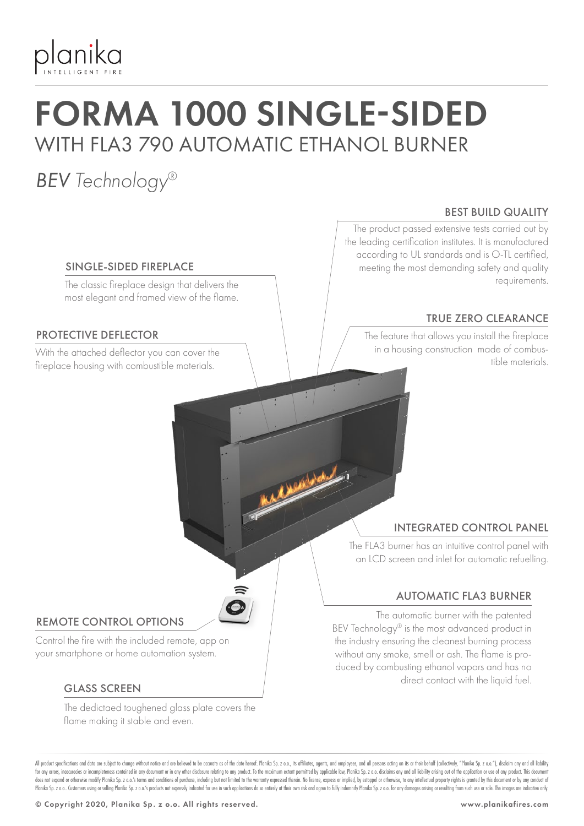

## FORMA 1000 SINGLE-SIDED WITH FLA3 790 AUTOMATIC ETHANOL BURNER

### *BEV Technology®*

#### SINGLE-SIDED FIREPLACE

The classic fireplace design that delivers the most elegant and framed view of the flame.

#### PROTECTIVE DEFLECTOR

fireplace housing with combustible materials.

#### BEST BUILD QUALITY

The product passed extensive tests carried out by the leading certification institutes. It is manufactured according to UL standards and is O-TL certified, meeting the most demanding safety and quality requirements.

#### TRUE ZERO CLEARANCE

The feature that allows you install the fireplace in a housing construction made of combus-With the attached deflector you can cover the the combus-<br>Computer the computation of the materials

#### INTEGRATED CONTROL PANEL

The FLA3 burner has an intuitive control panel with an LCD screen and inlet for automatic refuelling.

#### AUTOMATIC FLA3 BURNER

The automatic burner with the patented BEV Technology® is the most advanced product in the industry ensuring the cleanest burning process without any smoke, smell or ash. The flame is produced by combusting ethanol vapors and has no direct contact with the liquid fuel.

#### REMOTE CONTROL OPTIONS

Control the fire with the included remote, app on your smartphone or home automation system.

#### GLASS SCREEN

The dedictaed toughened glass plate covers the flame making it stable and even.

All product specifications and data are subject to change without notice and are believed to be accurate as of the date hereof. Planika So, z o.o., its affiliates, agents, and employees, and all only are action on its or t for any errors, inaccuracies or incompleteness contained in any document or in any other disclosure relating to any product. To the maximum extent permitted by applicable law, Planika Sp. z o.o. disclaims any and all liabi does not expand or otherwise modify Planika Sp. 2 o.o.'s terms and conditions of purchase, including but not limited to the warranty expressed therein. No license, express or implied, by estoppel or otherwise, to any intel Planika Sp. z o.o. Customers using or selling Planika Sp. z o.o.'s products not expressly indicated for use in such applications do so entirely at their own risk and agree to fully indemnify Planika Sp. z o.o. for any dama